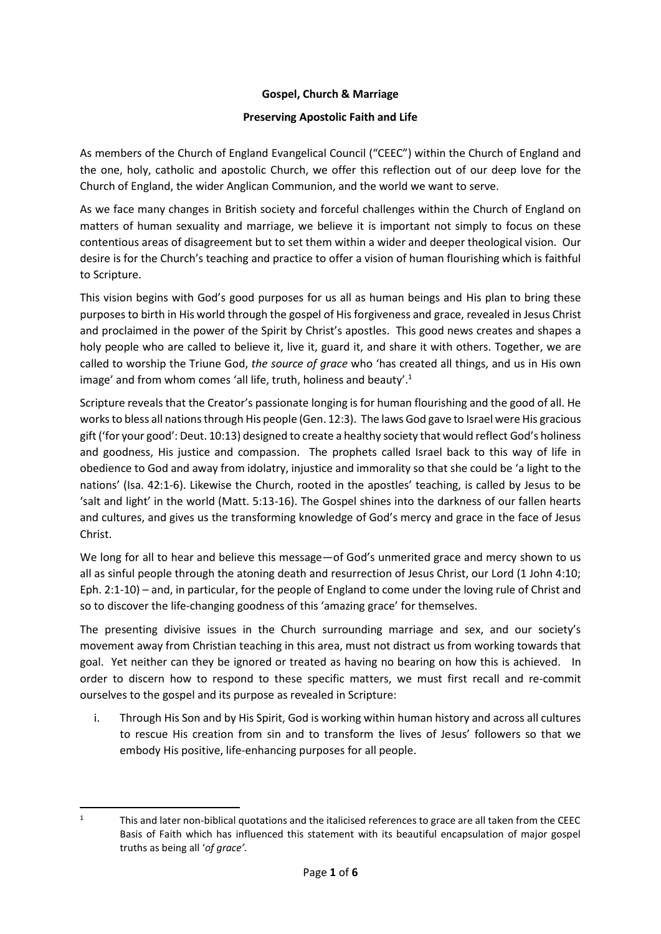#### **Gospel, Church & Marriage**

#### **Preserving Apostolic Faith and Life**

As members of the Church of England Evangelical Council ("CEEC") within the Church of England and the one, holy, catholic and apostolic Church, we offer this reflection out of our deep love for the Church of England, the wider Anglican Communion, and the world we want to serve.

As we face many changes in British society and forceful challenges within the Church of England on matters of human sexuality and marriage, we believe it is important not simply to focus on these contentious areas of disagreement but to set them within a wider and deeper theological vision. Our desire is for the Church's teaching and practice to offer a vision of human flourishing which is faithful to Scripture.

This vision begins with God's good purposes for us all as human beings and His plan to bring these purposes to birth in His world through the gospel of Hisforgiveness and grace, revealed in Jesus Christ and proclaimed in the power of the Spirit by Christ's apostles. This good news creates and shapes a holy people who are called to believe it, live it, guard it, and share it with others. Together, we are called to worship the Triune God, *the source of grace* who 'has created all things, and us in His own image' and from whom comes 'all life, truth, holiness and beauty'.<sup>1</sup>

Scripture reveals that the Creator's passionate longing is for human flourishing and the good of all. He works to bless all nations through His people (Gen. 12:3). The laws God gave to Israel were His gracious gift ('for your good': Deut. 10:13) designed to create a healthy society that would reflect God's holiness and goodness, His justice and compassion. The prophets called Israel back to this way of life in obedience to God and away from idolatry, injustice and immorality so that she could be 'a light to the nations' (Isa. 42:1-6). Likewise the Church, rooted in the apostles' teaching, is called by Jesus to be 'salt and light' in the world (Matt. 5:13-16). The Gospel shines into the darkness of our fallen hearts and cultures, and gives us the transforming knowledge of God's mercy and grace in the face of Jesus Christ.

We long for all to hear and believe this message—of God's unmerited grace and mercy shown to us all as sinful people through the atoning death and resurrection of Jesus Christ, our Lord (1 John 4:10; Eph. 2:1-10) – and, in particular, for the people of England to come under the loving rule of Christ and so to discover the life-changing goodness of this 'amazing grace' for themselves.

The presenting divisive issues in the Church surrounding marriage and sex, and our society's movement away from Christian teaching in this area, must not distract us from working towards that goal. Yet neither can they be ignored or treated as having no bearing on how this is achieved. In order to discern how to respond to these specific matters, we must first recall and re-commit ourselves to the gospel and its purpose as revealed in Scripture:

i. Through His Son and by His Spirit, God is working within human history and across all cultures to rescue His creation from sin and to transform the lives of Jesus' followers so that we embody His positive, life-enhancing purposes for all people.

**<sup>.</sup>** <sup>1</sup> This and later non-biblical quotations and the italicised references to grace are all taken from the CEEC Basis of Faith which has influenced this statement with its beautiful encapsulation of major gospel truths as being all '*of grace'.*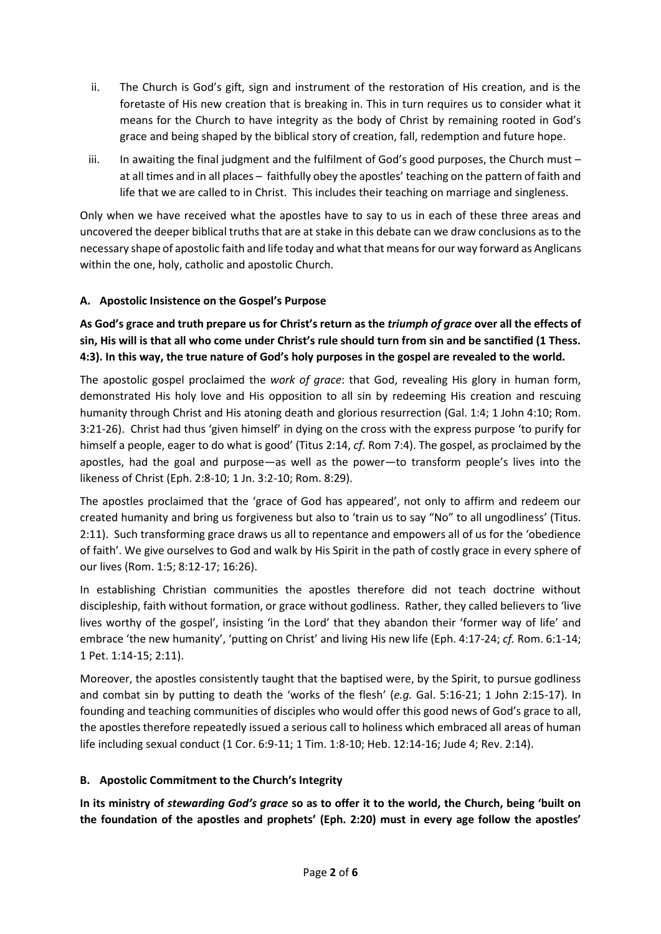- ii. The Church is God's gift, sign and instrument of the restoration of His creation, and is the foretaste of His new creation that is breaking in. This in turn requires us to consider what it means for the Church to have integrity as the body of Christ by remaining rooted in God's grace and being shaped by the biblical story of creation, fall, redemption and future hope.
- iii. In awaiting the final judgment and the fulfilment of God's good purposes, the Church must at all times and in all places – faithfully obey the apostles' teaching on the pattern of faith and life that we are called to in Christ. This includes their teaching on marriage and singleness.

Only when we have received what the apostles have to say to us in each of these three areas and uncovered the deeper biblical truths that are at stake in this debate can we draw conclusions as to the necessary shape of apostolic faith and life today and what that means for our way forward as Anglicans within the one, holy, catholic and apostolic Church.

# **A. Apostolic Insistence on the Gospel's Purpose**

**As God's grace and truth prepare us for Christ's return as the** *triumph of grace* **over all the effects of sin, His will is that all who come under Christ's rule should turn from sin and be sanctified (1 Thess. 4:3). In this way, the true nature of God's holy purposes in the gospel are revealed to the world.**

The apostolic gospel proclaimed the *work of grace*: that God, revealing His glory in human form, demonstrated His holy love and His opposition to all sin by redeeming His creation and rescuing humanity through Christ and His atoning death and glorious resurrection (Gal. 1:4; 1 John 4:10; Rom. 3:21-26). Christ had thus 'given himself' in dying on the cross with the express purpose 'to purify for himself a people, eager to do what is good' (Titus 2:14, *cf.* Rom 7:4). The gospel, as proclaimed by the apostles, had the goal and purpose—as well as the power—to transform people's lives into the likeness of Christ (Eph. 2:8-10; 1 Jn. 3:2-10; Rom. 8:29).

The apostles proclaimed that the 'grace of God has appeared', not only to affirm and redeem our created humanity and bring us forgiveness but also to 'train us to say "No" to all ungodliness' (Titus. 2:11). Such transforming grace draws us all to repentance and empowers all of us for the 'obedience of faith'. We give ourselves to God and walk by His Spirit in the path of costly grace in every sphere of our lives (Rom. 1:5; 8:12-17; 16:26).

In establishing Christian communities the apostles therefore did not teach doctrine without discipleship, faith without formation, or grace without godliness. Rather, they called believers to 'live lives worthy of the gospel', insisting 'in the Lord' that they abandon their 'former way of life' and embrace 'the new humanity', 'putting on Christ' and living His new life (Eph. 4:17-24; *cf.* Rom. 6:1-14; 1 Pet. 1:14-15; 2:11).

Moreover, the apostles consistently taught that the baptised were, by the Spirit, to pursue godliness and combat sin by putting to death the 'works of the flesh' (*e.g.* Gal. 5:16-21; 1 John 2:15-17). In founding and teaching communities of disciples who would offer this good news of God's grace to all, the apostles therefore repeatedly issued a serious call to holiness which embraced all areas of human life including sexual conduct (1 Cor. 6:9-11; 1 Tim. 1:8-10; Heb. 12:14-16; Jude 4; Rev. 2:14).

#### **B. Apostolic Commitment to the Church's Integrity**

**In its ministry of** *stewarding God's grace* **so as to offer it to the world, the Church, being 'built on the foundation of the apostles and prophets' (Eph. 2:20) must in every age follow the apostles'**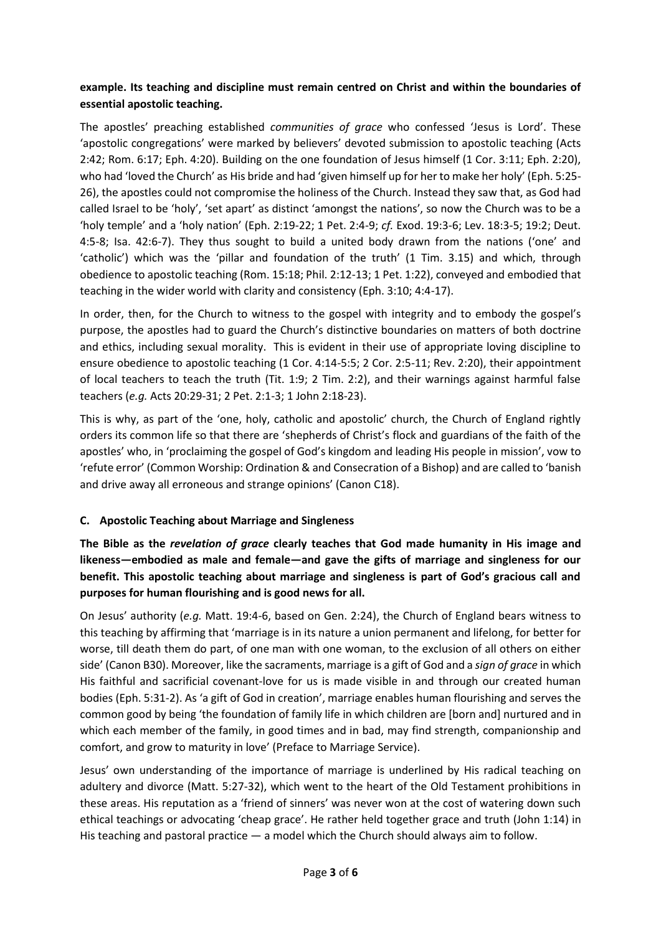# **example. Its teaching and discipline must remain centred on Christ and within the boundaries of essential apostolic teaching.**

The apostles' preaching established *communities of grace* who confessed 'Jesus is Lord'. These 'apostolic congregations' were marked by believers' devoted submission to apostolic teaching (Acts 2:42; Rom. 6:17; Eph. 4:20). Building on the one foundation of Jesus himself (1 Cor. 3:11; Eph. 2:20), who had 'loved the Church' as His bride and had 'given himself up for her to make her holy' (Eph. 5:25- 26), the apostles could not compromise the holiness of the Church. Instead they saw that, as God had called Israel to be 'holy', 'set apart' as distinct 'amongst the nations', so now the Church was to be a 'holy temple' and a 'holy nation' (Eph. 2:19-22; 1 Pet. 2:4-9; *cf.* Exod. 19:3-6; Lev. 18:3-5; 19:2; Deut. 4:5-8; Isa. 42:6-7). They thus sought to build a united body drawn from the nations ('one' and 'catholic') which was the 'pillar and foundation of the truth' (1 Tim. 3.15) and which, through obedience to apostolic teaching (Rom. 15:18; Phil. 2:12-13; 1 Pet. 1:22), conveyed and embodied that teaching in the wider world with clarity and consistency (Eph. 3:10; 4:4-17).

In order, then, for the Church to witness to the gospel with integrity and to embody the gospel's purpose, the apostles had to guard the Church's distinctive boundaries on matters of both doctrine and ethics, including sexual morality. This is evident in their use of appropriate loving discipline to ensure obedience to apostolic teaching (1 Cor. 4:14-5:5; 2 Cor. 2:5-11; Rev. 2:20), their appointment of local teachers to teach the truth (Tit. 1:9; 2 Tim. 2:2), and their warnings against harmful false teachers (*e.g.* Acts 20:29-31; 2 Pet. 2:1-3; 1 John 2:18-23).

This is why, as part of the 'one, holy, catholic and apostolic' church, the Church of England rightly orders its common life so that there are 'shepherds of Christ's flock and guardians of the faith of the apostles' who, in 'proclaiming the gospel of God's kingdom and leading His people in mission', vow to 'refute error' (Common Worship: Ordination & and Consecration of a Bishop) and are called to 'banish and drive away all erroneous and strange opinions' (Canon C18).

# **C. Apostolic Teaching about Marriage and Singleness**

**The Bible as the** *revelation of grace* **clearly teaches that God made humanity in His image and likeness—embodied as male and female—and gave the gifts of marriage and singleness for our benefit. This apostolic teaching about marriage and singleness is part of God's gracious call and purposes for human flourishing and is good news for all.**

On Jesus' authority (*e.g.* Matt. 19:4-6, based on Gen. 2:24), the Church of England bears witness to this teaching by affirming that 'marriage is in its nature a union permanent and lifelong, for better for worse, till death them do part, of one man with one woman, to the exclusion of all others on either side' (Canon B30). Moreover, like the sacraments, marriage is a gift of God and a *sign of grace* in which His faithful and sacrificial covenant-love for us is made visible in and through our created human bodies (Eph. 5:31-2). As 'a gift of God in creation', marriage enables human flourishing and serves the common good by being 'the foundation of family life in which children are [born and] nurtured and in which each member of the family, in good times and in bad, may find strength, companionship and comfort, and grow to maturity in love' (Preface to Marriage Service).

Jesus' own understanding of the importance of marriage is underlined by His radical teaching on adultery and divorce (Matt. 5:27-32), which went to the heart of the Old Testament prohibitions in these areas. His reputation as a 'friend of sinners' was never won at the cost of watering down such ethical teachings or advocating 'cheap grace'. He rather held together grace and truth (John 1:14) in His teaching and pastoral practice — a model which the Church should always aim to follow.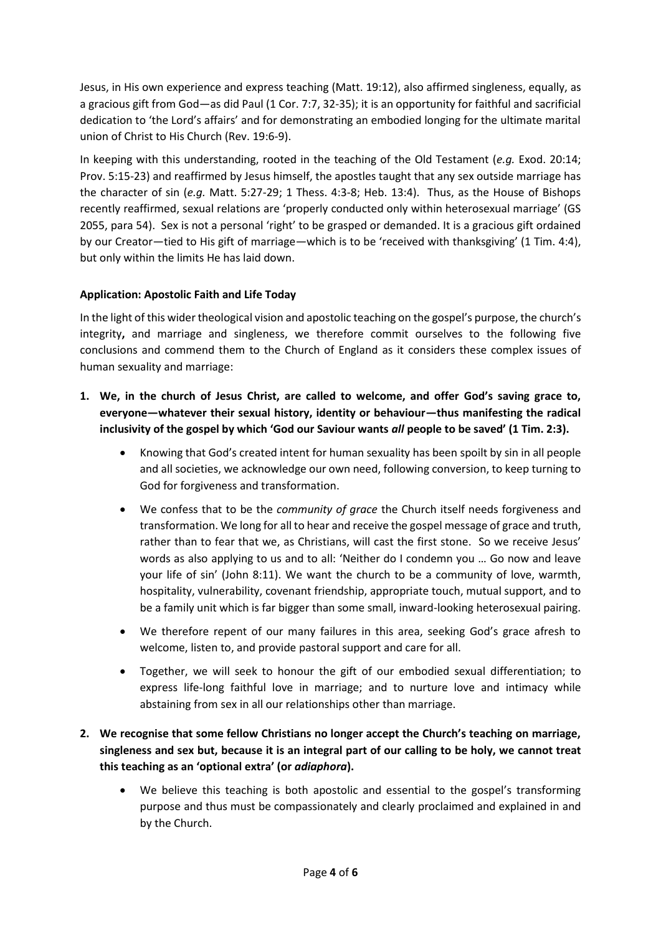Jesus, in His own experience and express teaching (Matt. 19:12), also affirmed singleness, equally, as a gracious gift from God—as did Paul (1 Cor. 7:7, 32-35); it is an opportunity for faithful and sacrificial dedication to 'the Lord's affairs' and for demonstrating an embodied longing for the ultimate marital union of Christ to His Church (Rev. 19:6-9).

In keeping with this understanding, rooted in the teaching of the Old Testament (*e.g.* Exod. 20:14; Prov. 5:15-23) and reaffirmed by Jesus himself, the apostles taught that any sex outside marriage has the character of sin (*e.g.* Matt. 5:27-29; 1 Thess. 4:3-8; Heb. 13:4). Thus, as the House of Bishops recently reaffirmed, sexual relations are 'properly conducted only within heterosexual marriage' (GS 2055, para 54). Sex is not a personal 'right' to be grasped or demanded. It is a gracious gift ordained by our Creator—tied to His gift of marriage—which is to be 'received with thanksgiving' (1 Tim. 4:4), but only within the limits He has laid down.

### **Application: Apostolic Faith and Life Today**

In the light of this wider theological vision and apostolic teaching on the gospel's purpose, the church's integrity**,** and marriage and singleness, we therefore commit ourselves to the following five conclusions and commend them to the Church of England as it considers these complex issues of human sexuality and marriage:

- **1. We, in the church of Jesus Christ, are called to welcome, and offer God's saving grace to, everyone—whatever their sexual history, identity or behaviour—thus manifesting the radical inclusivity of the gospel by which 'God our Saviour wants** *all* **people to be saved' (1 Tim. 2:3).**
	- Knowing that God's created intent for human sexuality has been spoilt by sin in all people and all societies, we acknowledge our own need, following conversion, to keep turning to God for forgiveness and transformation.
	- We confess that to be the *community of grace* the Church itself needs forgiveness and transformation. We long for all to hear and receive the gospel message of grace and truth, rather than to fear that we, as Christians, will cast the first stone. So we receive Jesus' words as also applying to us and to all: 'Neither do I condemn you … Go now and leave your life of sin' (John 8:11). We want the church to be a community of love, warmth, hospitality, vulnerability, covenant friendship, appropriate touch, mutual support, and to be a family unit which is far bigger than some small, inward-looking heterosexual pairing.
	- We therefore repent of our many failures in this area, seeking God's grace afresh to welcome, listen to, and provide pastoral support and care for all.
	- Together, we will seek to honour the gift of our embodied sexual differentiation; to express life-long faithful love in marriage; and to nurture love and intimacy while abstaining from sex in all our relationships other than marriage.

# **2. We recognise that some fellow Christians no longer accept the Church's teaching on marriage, singleness and sex but, because it is an integral part of our calling to be holy, we cannot treat this teaching as an 'optional extra' (or** *adiaphora***).**

We believe this teaching is both apostolic and essential to the gospel's transforming purpose and thus must be compassionately and clearly proclaimed and explained in and by the Church.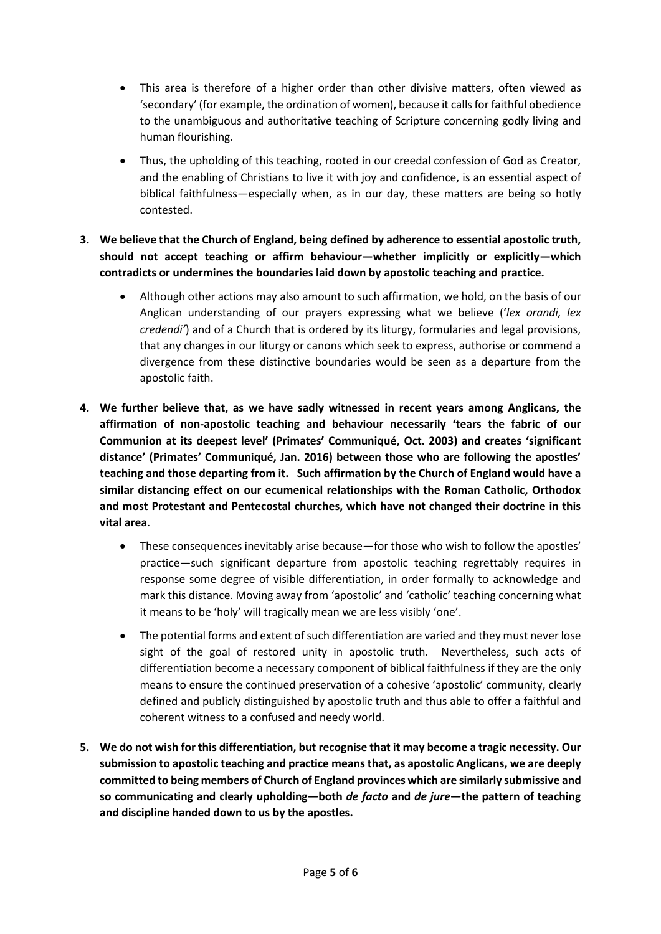- This area is therefore of a higher order than other divisive matters, often viewed as 'secondary' (for example, the ordination of women), because it calls for faithful obedience to the unambiguous and authoritative teaching of Scripture concerning godly living and human flourishing.
- Thus, the upholding of this teaching, rooted in our creedal confession of God as Creator, and the enabling of Christians to live it with joy and confidence, is an essential aspect of biblical faithfulness—especially when, as in our day, these matters are being so hotly contested.
- **3. We believe that the Church of England, being defined by adherence to essential apostolic truth, should not accept teaching or affirm behaviour—whether implicitly or explicitly—which contradicts or undermines the boundaries laid down by apostolic teaching and practice.**
	- Although other actions may also amount to such affirmation, we hold, on the basis of our Anglican understanding of our prayers expressing what we believe ('*lex orandi, lex credendi'*) and of a Church that is ordered by its liturgy, formularies and legal provisions, that any changes in our liturgy or canons which seek to express, authorise or commend a divergence from these distinctive boundaries would be seen as a departure from the apostolic faith.
- **4. We further believe that, as we have sadly witnessed in recent years among Anglicans, the affirmation of non-apostolic teaching and behaviour necessarily 'tears the fabric of our Communion at its deepest level' (Primates' Communiqué, Oct. 2003) and creates 'significant distance' (Primates' Communiqué, Jan. 2016) between those who are following the apostles' teaching and those departing from it. Such affirmation by the Church of England would have a similar distancing effect on our ecumenical relationships with the Roman Catholic, Orthodox and most Protestant and Pentecostal churches, which have not changed their doctrine in this vital area**.
	- These consequences inevitably arise because—for those who wish to follow the apostles' practice—such significant departure from apostolic teaching regrettably requires in response some degree of visible differentiation, in order formally to acknowledge and mark this distance. Moving away from 'apostolic' and 'catholic' teaching concerning what it means to be 'holy' will tragically mean we are less visibly 'one'.
	- The potential forms and extent of such differentiation are varied and they must never lose sight of the goal of restored unity in apostolic truth. Nevertheless, such acts of differentiation become a necessary component of biblical faithfulness if they are the only means to ensure the continued preservation of a cohesive 'apostolic' community, clearly defined and publicly distinguished by apostolic truth and thus able to offer a faithful and coherent witness to a confused and needy world.
- **5. We do not wish for this differentiation, but recognise that it may become a tragic necessity. Our submission to apostolic teaching and practice means that, as apostolic Anglicans, we are deeply committed to being members of Church of England provinces which are similarly submissive and so communicating and clearly upholding—both** *de facto* **and** *de jure***—the pattern of teaching and discipline handed down to us by the apostles.**